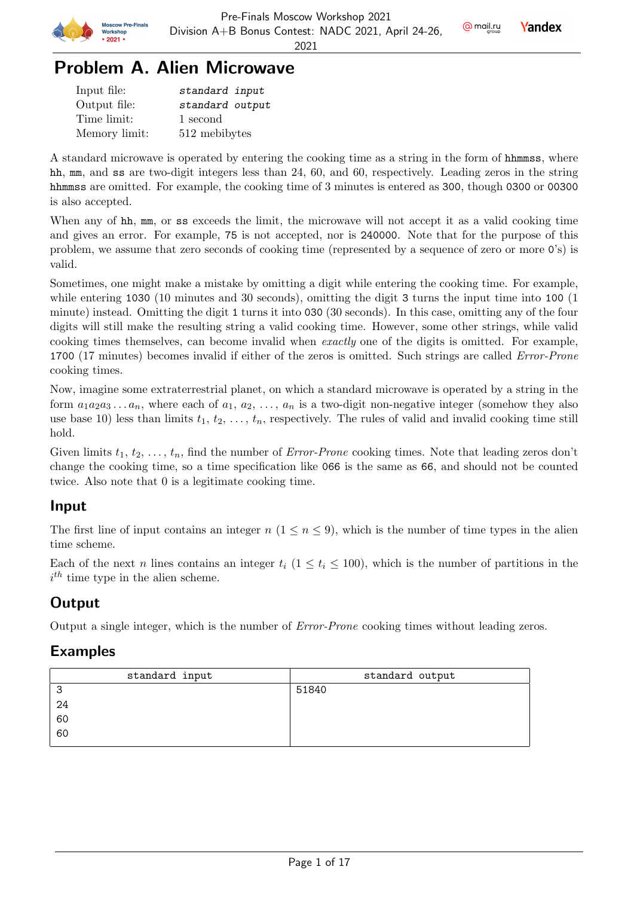

# Problem A. Alien Microwave

| Input file:   | standard input  |
|---------------|-----------------|
| Output file:  | standard output |
| Time limit:   | 1 second        |
| Memory limit: | 512 mebibytes   |

A standard microwave is operated by entering the cooking time as a string in the form of hhmmss, where hh, mm, and ss are two-digit integers less than 24, 60, and 60, respectively. Leading zeros in the string hhmmss are omitted. For example, the cooking time of 3 minutes is entered as 300, though 0300 or 00300 is also accepted.

When any of hh, mm, or ss exceeds the limit, the microwave will not accept it as a valid cooking time and gives an error. For example, 75 is not accepted, nor is 240000. Note that for the purpose of this problem, we assume that zero seconds of cooking time (represented by a sequence of zero or more 0's) is valid.

Sometimes, one might make a mistake by omitting a digit while entering the cooking time. For example, while entering 1030 (10 minutes and 30 seconds), omitting the digit 3 turns the input time into 100 (1 minute) instead. Omitting the digit 1 turns it into 030 (30 seconds). In this case, omitting any of the four digits will still make the resulting string a valid cooking time. However, some other strings, while valid cooking times themselves, can become invalid when exactly one of the digits is omitted. For example, 1700 (17 minutes) becomes invalid if either of the zeros is omitted. Such strings are called Error-Prone cooking times.

Now, imagine some extraterrestrial planet, on which a standard microwave is operated by a string in the form  $a_1a_2a_3...a_n$ , where each of  $a_1, a_2,..., a_n$  is a two-digit non-negative integer (somehow they also use base 10) less than limits  $t_1, t_2, \ldots, t_n$ , respectively. The rules of valid and invalid cooking time still hold.

Given limits  $t_1, t_2, \ldots, t_n$ , find the number of *Error-Prone* cooking times. Note that leading zeros don't change the cooking time, so a time specification like 066 is the same as 66, and should not be counted twice. Also note that 0 is a legitimate cooking time.

## Input

The first line of input contains an integer  $n (1 \le n \le 9)$ , which is the number of time types in the alien time scheme.

Each of the next n lines contains an integer  $t_i$  ( $1 \le t_i \le 100$ ), which is the number of partitions in the  $i^{th}$  time type in the alien scheme.

## **Output**

Output a single integer, which is the number of Error-Prone cooking times without leading zeros.

| standard input | standard output |
|----------------|-----------------|
| ີ<br>J         | 51840           |
| 24             |                 |
| 60             |                 |
| 60             |                 |
|                |                 |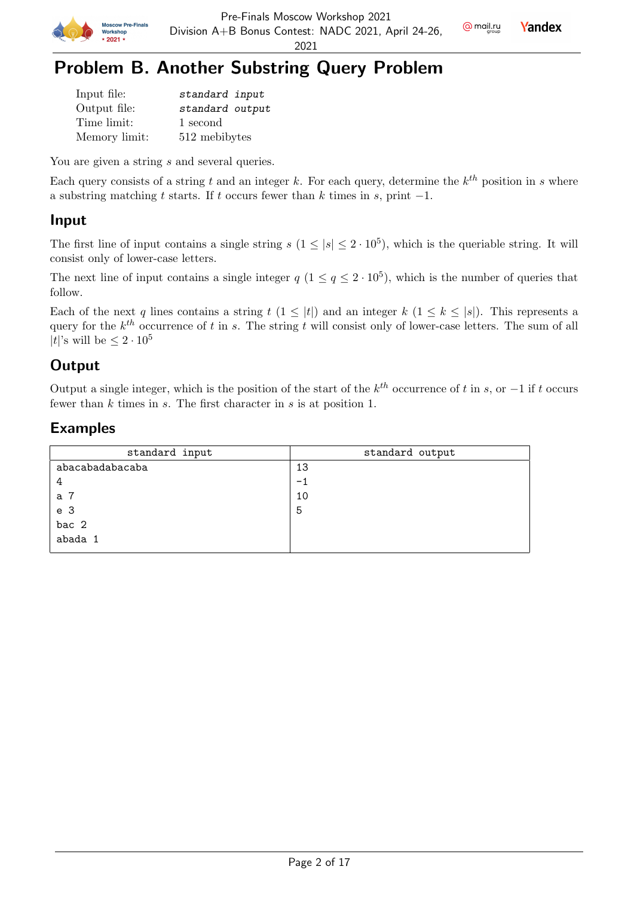



# Problem B. Another Substring Query Problem

| Input file:   | standard input  |
|---------------|-----------------|
| Output file:  | standard output |
| Time limit:   | 1 second        |
| Memory limit: | 512 mebibytes   |

You are given a string s and several queries.

Each query consists of a string t and an integer k. For each query, determine the  $k^{th}$  position in s where a substring matching t starts. If t occurs fewer than k times in s, print  $-1$ .

### Input

The first line of input contains a single string  $s$   $(1 \leq |s| \leq 2 \cdot 10^5)$ , which is the queriable string. It will consist only of lower-case letters.

The next line of input contains a single integer  $q$   $(1 \leq q \leq 2 \cdot 10^5)$ , which is the number of queries that follow.

Each of the next q lines contains a string  $t$   $(1 \leq |t|)$  and an integer  $k$   $(1 \leq k \leq |s|)$ . This represents a query for the  $k^{th}$  occurrence of t in s. The string t will consist only of lower-case letters. The sum of all  $|t|$ 's will be  $\leq 2 \cdot 10^5$ 

## **Output**

Output a single integer, which is the position of the start of the  $k^{th}$  occurrence of t in s, or  $-1$  if t occurs fewer than  $k$  times in  $s$ . The first character in  $s$  is at position 1.

| standard input  | standard output |
|-----------------|-----------------|
| abacabadabacaba | 13              |
| 4               | $-1$            |
| a 7             | 10              |
| e <sub>3</sub>  | 5               |
| bac 2           |                 |
| abada 1         |                 |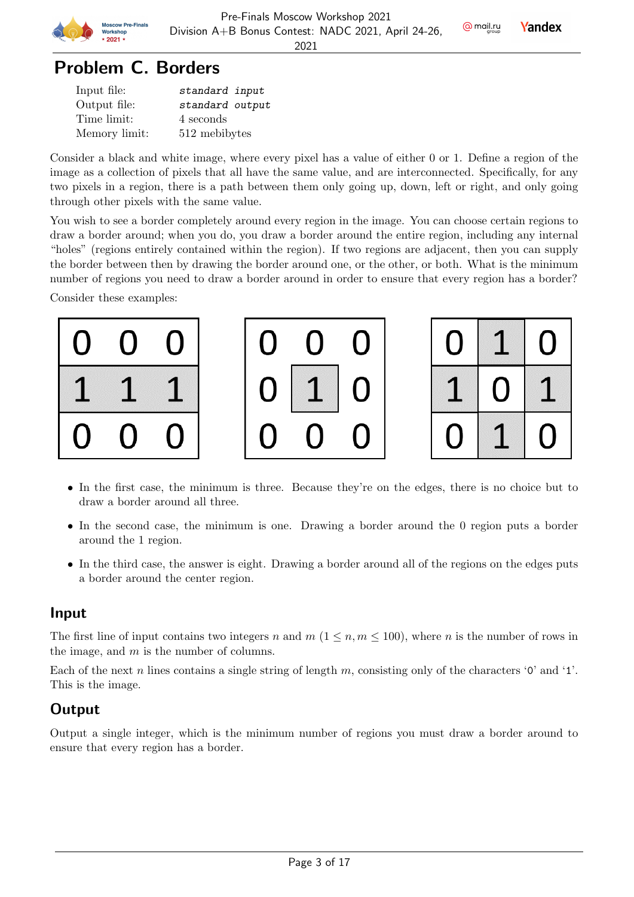

# Problem C. Borders

| Input file:   | standard input  |
|---------------|-----------------|
| Output file:  | standard output |
| Time limit:   | 4 seconds       |
| Memory limit: | 512 mebibytes   |

Consider a black and white image, where every pixel has a value of either 0 or 1. Define a region of the image as a collection of pixels that all have the same value, and are interconnected. Specifically, for any two pixels in a region, there is a path between them only going up, down, left or right, and only going through other pixels with the same value.

You wish to see a border completely around every region in the image. You can choose certain regions to draw a border around; when you do, you draw a border around the entire region, including any internal "holes" (regions entirely contained within the region). If two regions are adjacent, then you can supply the border between then by drawing the border around one, or the other, or both. What is the minimum number of regions you need to draw a border around in order to ensure that every region has a border?

Consider these examples:







- In the first case, the minimum is three. Because they're on the edges, there is no choice but to draw a border around all three.
- In the second case, the minimum is one. Drawing a border around the 0 region puts a border around the 1 region.
- In the third case, the answer is eight. Drawing a border around all of the regions on the edges puts a border around the center region.

## Input

The first line of input contains two integers n and  $m (1 \leq n, m \leq 100)$ , where n is the number of rows in the image, and m is the number of columns.

Each of the next n lines contains a single string of length m, consisting only of the characters '0' and '1'. This is the image.

## **Output**

Output a single integer, which is the minimum number of regions you must draw a border around to ensure that every region has a border.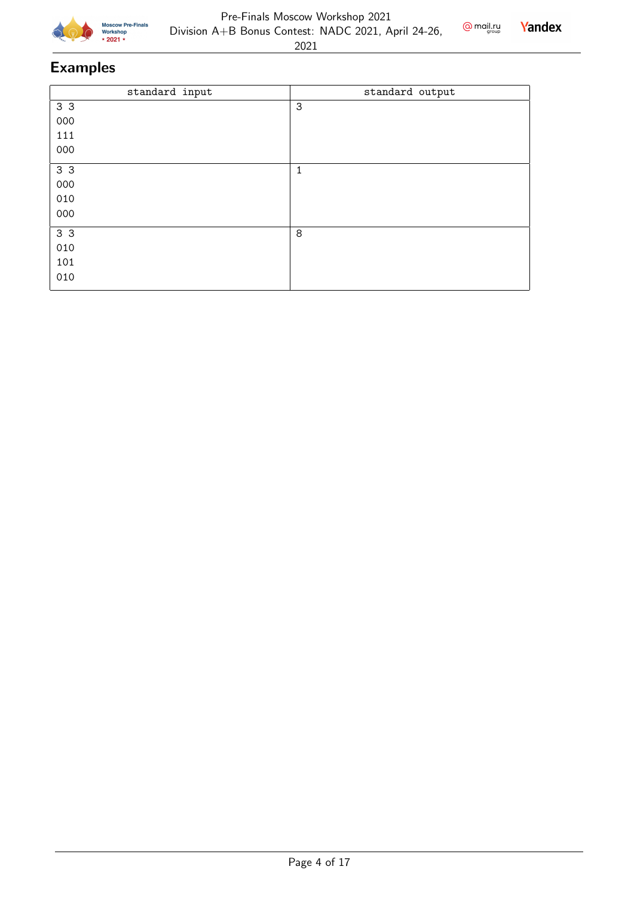

#### Pre-Finals Moscow Workshop 2021 Division A+B Bonus Contest: NADC 2021, April 24-26,



| standard input | standard output |
|----------------|-----------------|
| 3 3            | $\mathbf{3}$    |
| 000            |                 |
| 111            |                 |
| 000            |                 |
| 3 <sub>3</sub> | $\mathbf{1}$    |
| 000            |                 |
| 010            |                 |
| 000            |                 |
| 3 <sub>3</sub> | 8               |
| 010            |                 |
| 101            |                 |
| 010            |                 |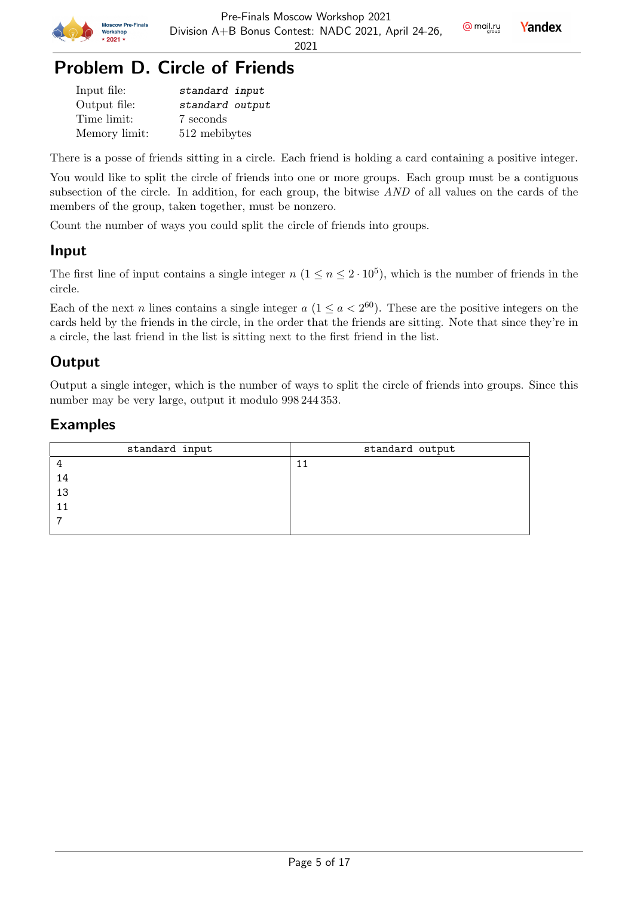

**Yandex** 

2021

# Problem D. Circle of Friends

| Input file:   | standard input  |
|---------------|-----------------|
| Output file:  | standard output |
| Time limit:   | 7 seconds       |
| Memory limit: | 512 mebibytes   |

There is a posse of friends sitting in a circle. Each friend is holding a card containing a positive integer.

You would like to split the circle of friends into one or more groups. Each group must be a contiguous subsection of the circle. In addition, for each group, the bitwise AND of all values on the cards of the members of the group, taken together, must be nonzero.

Count the number of ways you could split the circle of friends into groups.

### Input

The first line of input contains a single integer  $n (1 \le n \le 2 \cdot 10^5)$ , which is the number of friends in the circle.

Each of the next n lines contains a single integer  $a (1 \le a < 2^{60})$ . These are the positive integers on the cards held by the friends in the circle, in the order that the friends are sitting. Note that since they're in a circle, the last friend in the list is sitting next to the first friend in the list.

## **Output**

Output a single integer, which is the number of ways to split the circle of friends into groups. Since this number may be very large, output it modulo 998 244 353.

| standard input | standard output |
|----------------|-----------------|
|                |                 |
| 14             |                 |
| 13             |                 |
|                |                 |
|                |                 |
|                |                 |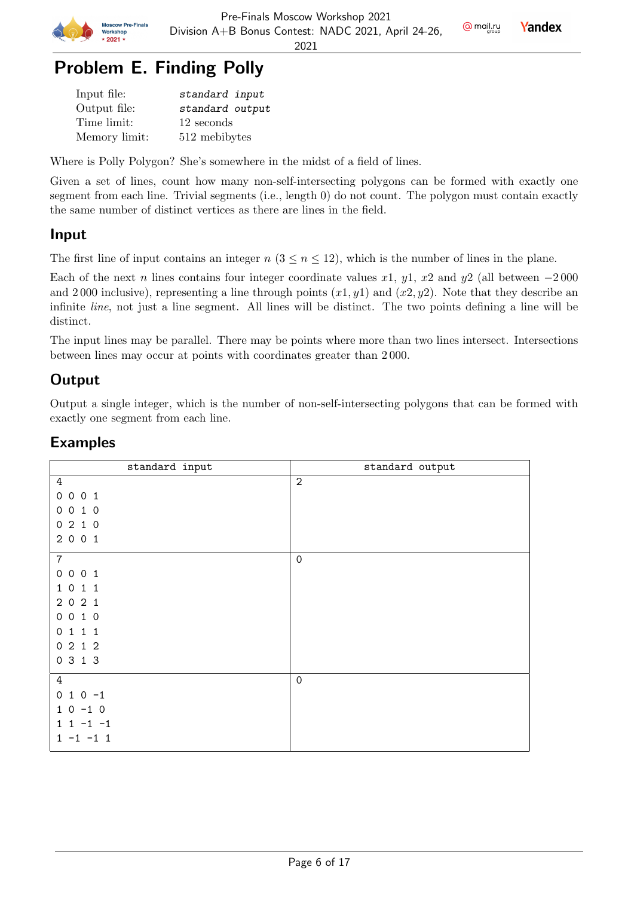

**Yandex** 

2021

# Problem E. Finding Polly

| Input file:   | standard input  |
|---------------|-----------------|
| Output file:  | standard output |
| Time limit:   | 12 seconds      |
| Memory limit: | 512 mebibytes   |

Where is Polly Polygon? She's somewhere in the midst of a field of lines.

Given a set of lines, count how many non-self-intersecting polygons can be formed with exactly one segment from each line. Trivial segments (i.e., length 0) do not count. The polygon must contain exactly the same number of distinct vertices as there are lines in the field.

### Input

The first line of input contains an integer  $n (3 \le n \le 12)$ , which is the number of lines in the plane.

Each of the next n lines contains four integer coordinate values x1, y1, x2 and y2 (all between  $-2000$ and 2000 inclusive), representing a line through points  $(x1, y1)$  and  $(x2, y2)$ . Note that they describe an infinite line, not just a line segment. All lines will be distinct. The two points defining a line will be distinct.

The input lines may be parallel. There may be points where more than two lines intersect. Intersections between lines may occur at points with coordinates greater than 2 000.

## **Output**

Output a single integer, which is the number of non-self-intersecting polygons that can be formed with exactly one segment from each line.

| standard input              | standard output     |
|-----------------------------|---------------------|
| 4                           | $\sqrt{2}$          |
| 0 0 0 1                     |                     |
| 010<br>$\circ$              |                     |
| 0210                        |                     |
| 2 0 0 1                     |                     |
| $\sqrt{7}$                  | $\mathsf{O}\xspace$ |
| 0 0 0 1                     |                     |
| 1 0 1 1                     |                     |
| 2021                        |                     |
| 010<br>$\mathsf{O}$         |                     |
| 111<br>0                    |                     |
| 0212                        |                     |
| 0 3 1 3                     |                     |
| $\overline{4}$              | $\mathsf{O}\xspace$ |
| $010-1$                     |                     |
| $0 - 1 0$<br>$\mathbf{1}$   |                     |
| $1 - 1 - 1$<br>$\mathbf{1}$ |                     |
| $1 - 1 - 1$                 |                     |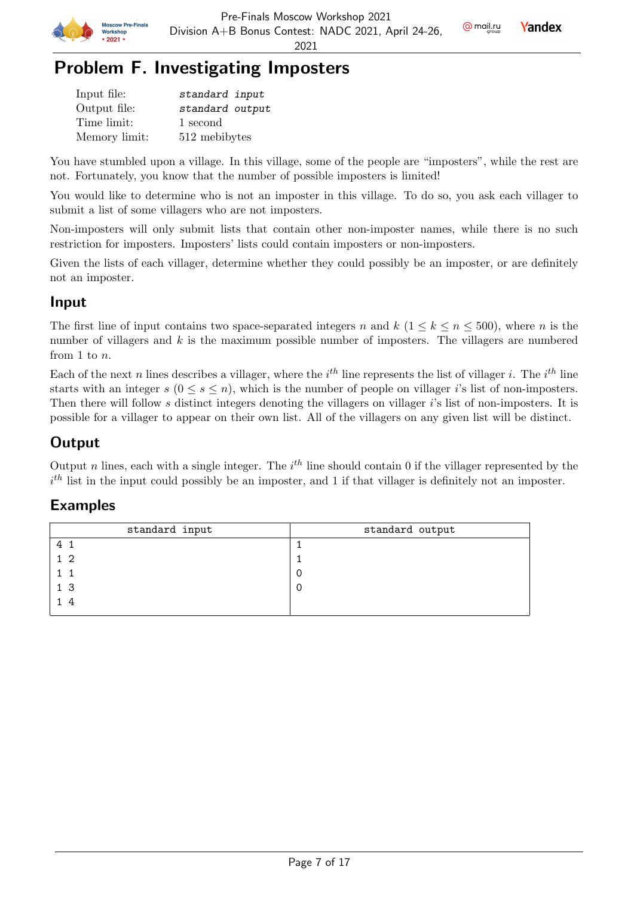



# Problem F. Investigating Imposters

| Input file:   | standard input  |
|---------------|-----------------|
| Output file:  | standard output |
| Time limit:   | 1 second        |
| Memory limit: | 512 mebibytes   |

You have stumbled upon a village. In this village, some of the people are "imposters", while the rest are not. Fortunately, you know that the number of possible imposters is limited!

You would like to determine who is not an imposter in this village. To do so, you ask each villager to submit a list of some villagers who are not imposters.

Non-imposters will only submit lists that contain other non-imposter names, while there is no such restriction for imposters. Imposters' lists could contain imposters or non-imposters.

Given the lists of each villager, determine whether they could possibly be an imposter, or are definitely not an imposter.

### Input

The first line of input contains two space-separated integers n and  $k$  ( $1 \leq k \leq n \leq 500$ ), where n is the number of villagers and  $k$  is the maximum possible number of imposters. The villagers are numbered from 1 to n.

Each of the next n lines describes a villager, where the  $i^{th}$  line represents the list of villager i. The  $i^{th}$  line starts with an integer  $s$  ( $0 \le s \le n$ ), which is the number of people on villager i's list of non-imposters. Then there will follow s distinct integers denoting the villagers on villager  $i$ 's list of non-imposters. It is possible for a villager to appear on their own list. All of the villagers on any given list will be distinct.

### **Output**

Output n lines, each with a single integer. The  $i^{th}$  line should contain 0 if the villager represented by the  $i<sup>th</sup>$  list in the input could possibly be an imposter, and 1 if that villager is definitely not an imposter.

| standard input | standard output |
|----------------|-----------------|
| 4              |                 |
| 1 <sub>2</sub> |                 |
|                |                 |
| 1 <sub>3</sub> |                 |
| - 4            |                 |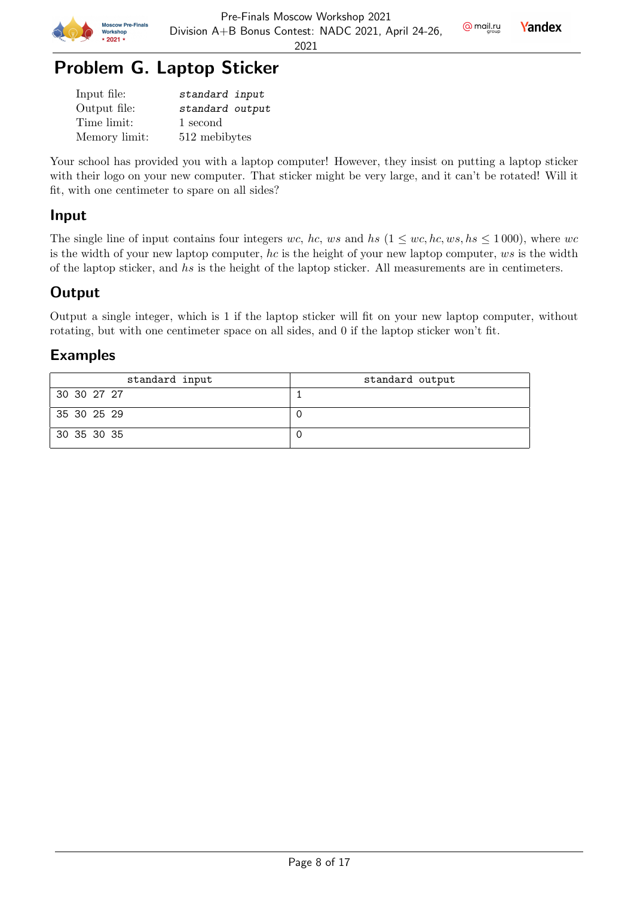

# Problem G. Laptop Sticker

| Input file:   | standard input  |
|---------------|-----------------|
| Output file:  | standard output |
| Time limit:   | 1 second        |
| Memory limit: | 512 mebibytes   |

Your school has provided you with a laptop computer! However, they insist on putting a laptop sticker with their logo on your new computer. That sticker might be very large, and it can't be rotated! Will it fit, with one centimeter to spare on all sides?

## Input

The single line of input contains four integers wc, hc, ws and hs  $(1 \leq wc, hc, ws, hs \leq 1000)$ , where wc is the width of your new laptop computer, hc is the height of your new laptop computer,  $ws$  is the width of the laptop sticker, and hs is the height of the laptop sticker. All measurements are in centimeters.

## **Output**

Output a single integer, which is 1 if the laptop sticker will fit on your new laptop computer, without rotating, but with one centimeter space on all sides, and 0 if the laptop sticker won't fit.

| standard input | standard output |
|----------------|-----------------|
| 30 30 27 27    |                 |
| 35 30 25 29    |                 |
| 30 35 30 35    |                 |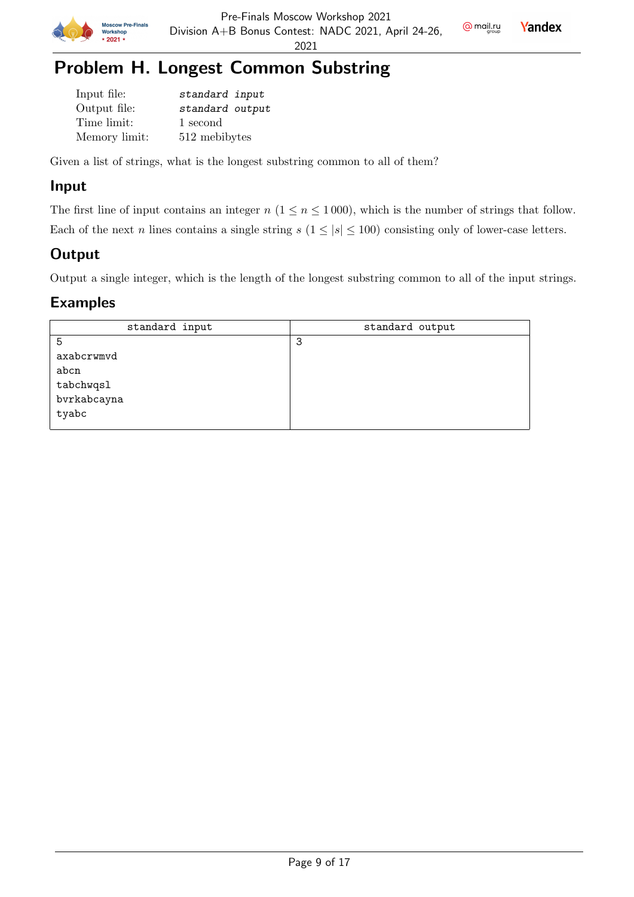



# Problem H. Longest Common Substring

| Input file:   | standard input  |
|---------------|-----------------|
| Output file:  | standard output |
| Time limit:   | 1 second        |
| Memory limit: | 512 mebibytes   |

Given a list of strings, what is the longest substring common to all of them?

### Input

The first line of input contains an integer  $n$  ( $1 \le n \le 1000$ ), which is the number of strings that follow. Each of the next n lines contains a single string  $s$  ( $1 \leq |s| \leq 100$ ) consisting only of lower-case letters.

## **Output**

Output a single integer, which is the length of the longest substring common to all of the input strings.

| standard input | standard output |
|----------------|-----------------|
| 5              | -3              |
| axabcrwmvd     |                 |
| abcn           |                 |
| tabchwqsl      |                 |
| bvrkabcayna    |                 |
| tyabc          |                 |
|                |                 |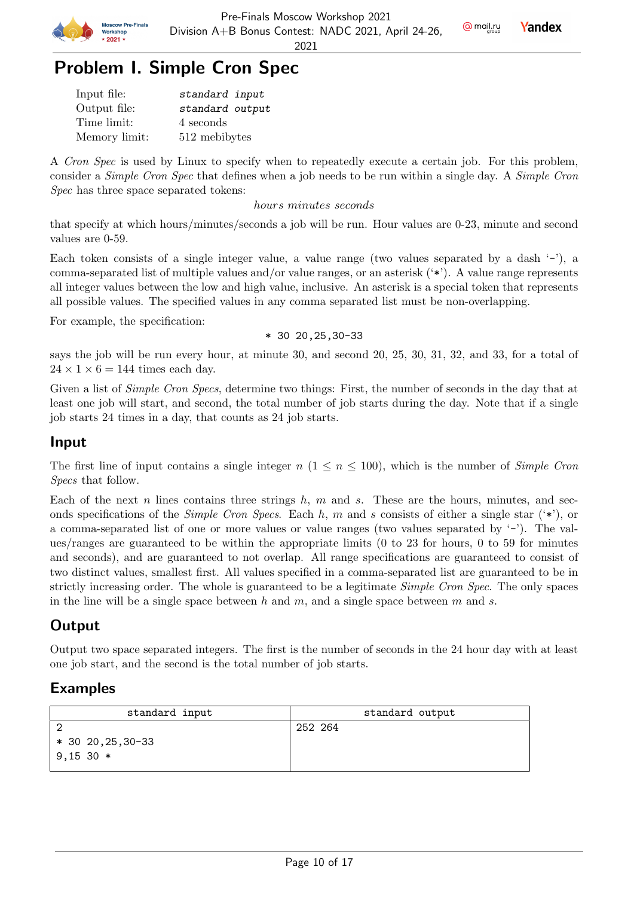



## Problem I. Simple Cron Spec

| Input file:   | standard input  |
|---------------|-----------------|
| Output file:  | standard output |
| Time limit:   | 4 seconds       |
| Memory limit: | 512 mebibytes   |

A Cron Spec is used by Linux to specify when to repeatedly execute a certain job. For this problem, consider a Simple Cron Spec that defines when a job needs to be run within a single day. A Simple Cron Spec has three space separated tokens:

hours minutes seconds

that specify at which hours/minutes/seconds a job will be run. Hour values are 0-23, minute and second values are 0-59.

Each token consists of a single integer value, a value range (two values separated by a dash  $(-)$ ), a comma-separated list of multiple values and/or value ranges, or an asterisk ('\*'). A value range represents all integer values between the low and high value, inclusive. An asterisk is a special token that represents all possible values. The specified values in any comma separated list must be non-overlapping.

For example, the specification:

\* 30 20,25,30-33

says the job will be run every hour, at minute 30, and second 20, 25, 30, 31, 32, and 33, for a total of  $24 \times 1 \times 6 = 144$  times each day.

Given a list of *Simple Cron Specs*, determine two things: First, the number of seconds in the day that at least one job will start, and second, the total number of job starts during the day. Note that if a single job starts 24 times in a day, that counts as 24 job starts.

#### Input

The first line of input contains a single integer  $n (1 \le n \le 100)$ , which is the number of *Simple Cron* Specs that follow.

Each of the next n lines contains three strings  $h, m$  and s. These are the hours, minutes, and seconds specifications of the Simple Cron Specs. Each h, m and s consists of either a single star  $(*)$ , or a comma-separated list of one or more values or value ranges (two values separated by  $(-')$ ). The values/ranges are guaranteed to be within the appropriate limits (0 to 23 for hours, 0 to 59 for minutes and seconds), and are guaranteed to not overlap. All range specifications are guaranteed to consist of two distinct values, smallest first. All values specified in a comma-separated list are guaranteed to be in strictly increasing order. The whole is guaranteed to be a legitimate Simple Cron Spec. The only spaces in the line will be a single space between h and m, and a single space between  $m$  and  $s$ .

## **Output**

Output two space separated integers. The first is the number of seconds in the 24 hour day with at least one job start, and the second is the total number of job starts.

| standard input                       | standard output |
|--------------------------------------|-----------------|
| $*$ 30 20, 25, 30 - 33<br>$9,15,30*$ | 252 264         |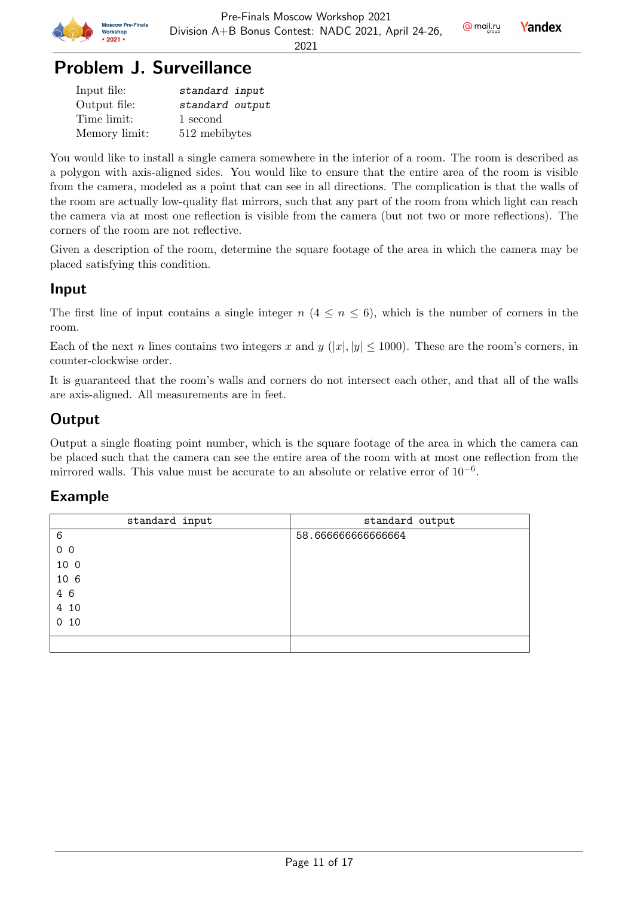

# Problem J. Surveillance

| Input file:   | standard input  |
|---------------|-----------------|
| Output file:  | standard output |
| Time limit:   | 1 second        |
| Memory limit: | 512 mebibytes   |

You would like to install a single camera somewhere in the interior of a room. The room is described as a polygon with axis-aligned sides. You would like to ensure that the entire area of the room is visible from the camera, modeled as a point that can see in all directions. The complication is that the walls of the room are actually low-quality flat mirrors, such that any part of the room from which light can reach the camera via at most one reflection is visible from the camera (but not two or more reflections). The corners of the room are not reflective.

Given a description of the room, determine the square footage of the area in which the camera may be placed satisfying this condition.

### Input

The first line of input contains a single integer  $n (4 \le n \le 6)$ , which is the number of corners in the room.

Each of the next n lines contains two integers x and y  $(|x|, |y| \le 1000)$ . These are the room's corners, in counter-clockwise order.

It is guaranteed that the room's walls and corners do not intersect each other, and that all of the walls are axis-aligned. All measurements are in feet.

## **Output**

Output a single floating point number, which is the square footage of the area in which the camera can be placed such that the camera can see the entire area of the room with at most one reflection from the mirrored walls. This value must be accurate to an absolute or relative error of  $10^{-6}$ .

| standard input | standard output   |
|----------------|-------------------|
| 6              | 58.66666666666664 |
| 0 <sub>0</sub> |                   |
| 10 0           |                   |
| 10 6           |                   |
| 4 6            |                   |
| 4 10           |                   |
| 10<br>$\circ$  |                   |
|                |                   |
|                |                   |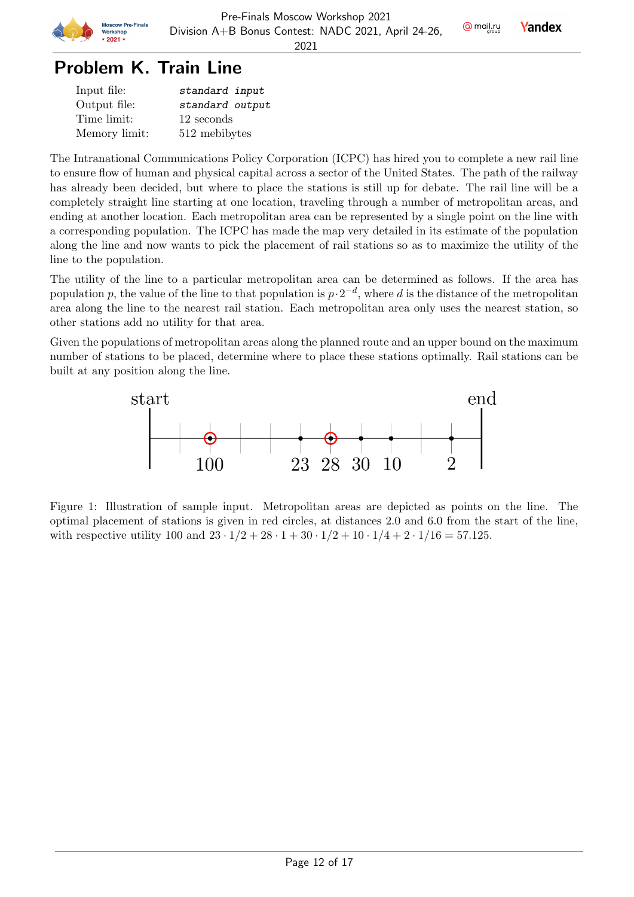

# Problem K. Train Line

| Input file:   | standard input  |
|---------------|-----------------|
| Output file:  | standard output |
| Time limit:   | 12 seconds      |
| Memory limit: | 512 mebibytes   |

The Intranational Communications Policy Corporation (ICPC) has hired you to complete a new rail line to ensure flow of human and physical capital across a sector of the United States. The path of the railway has already been decided, but where to place the stations is still up for debate. The rail line will be a completely straight line starting at one location, traveling through a number of metropolitan areas, and ending at another location. Each metropolitan area can be represented by a single point on the line with a corresponding population. The ICPC has made the map very detailed in its estimate of the population along the line and now wants to pick the placement of rail stations so as to maximize the utility of the line to the population.

The utility of the line to a particular metropolitan area can be determined as follows. If the area has population p, the value of the line to that population is  $p \cdot 2^{-d}$ , where d is the distance of the metropolitan area along the line to the nearest rail station. Each metropolitan area only uses the nearest station, so other stations add no utility for that area.

Given the populations of metropolitan areas along the planned route and an upper bound on the maximum number of stations to be placed, determine where to place these stations optimally. Rail stations can be built at any position along the line.



Figure 1: Illustration of sample input. Metropolitan areas are depicted as points on the line. The optimal placement of stations is given in red circles, at distances 2.0 and 6.0 from the start of the line, with respective utility 100 and  $23 \cdot 1/2 + 28 \cdot 1 + 30 \cdot 1/2 + 10 \cdot 1/4 + 2 \cdot 1/16 = 57.125$ .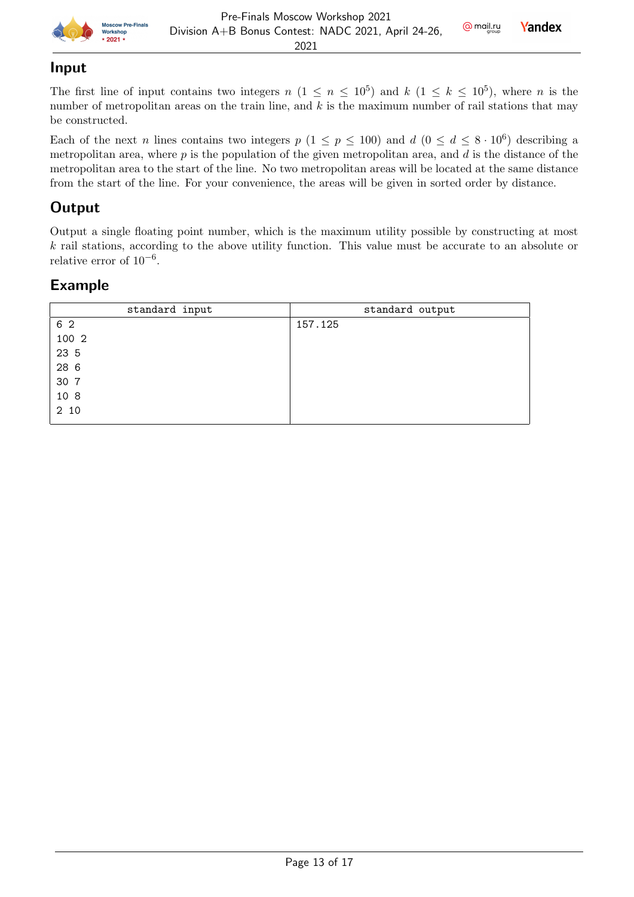

#### Input

The first line of input contains two integers  $n (1 \le n \le 10^5)$  and  $k (1 \le k \le 10^5)$ , where n is the number of metropolitan areas on the train line, and  $k$  is the maximum number of rail stations that may be constructed.

Each of the next n lines contains two integers  $p$  ( $1 \leq p \leq 100$ ) and  $d$  ( $0 \leq d \leq 8 \cdot 10^6$ ) describing a metropolitan area, where  $p$  is the population of the given metropolitan area, and  $d$  is the distance of the metropolitan area to the start of the line. No two metropolitan areas will be located at the same distance from the start of the line. For your convenience, the areas will be given in sorted order by distance.

### **Output**

Output a single floating point number, which is the maximum utility possible by constructing at most k rail stations, according to the above utility function. This value must be accurate to an absolute or relative error of  $10^{-6}$ .

| standard input | standard output |
|----------------|-----------------|
| 6 2            | 157.125         |
| 100 2          |                 |
| 23 5           |                 |
| 28 6           |                 |
| 30 7           |                 |
| 10 8           |                 |
| 2 10           |                 |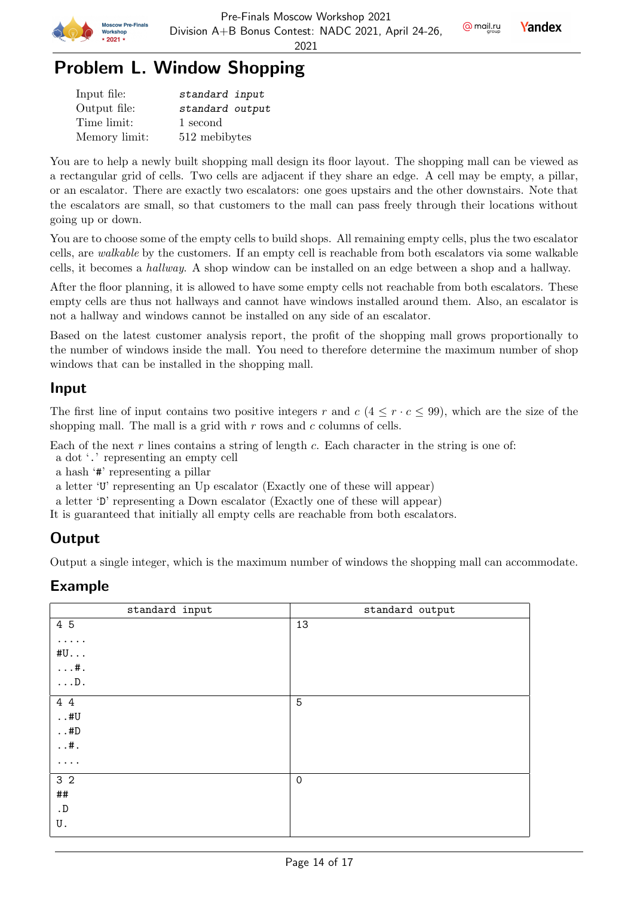

# Problem L. Window Shopping

| Input file:   | standard input  |
|---------------|-----------------|
| Output file:  | standard output |
| Time limit:   | 1 second        |
| Memory limit: | 512 mebibytes   |

You are to help a newly built shopping mall design its floor layout. The shopping mall can be viewed as a rectangular grid of cells. Two cells are adjacent if they share an edge. A cell may be empty, a pillar, or an escalator. There are exactly two escalators: one goes upstairs and the other downstairs. Note that the escalators are small, so that customers to the mall can pass freely through their locations without going up or down.

You are to choose some of the empty cells to build shops. All remaining empty cells, plus the two escalator cells, are walkable by the customers. If an empty cell is reachable from both escalators via some walkable cells, it becomes a hallway. A shop window can be installed on an edge between a shop and a hallway.

After the floor planning, it is allowed to have some empty cells not reachable from both escalators. These empty cells are thus not hallways and cannot have windows installed around them. Also, an escalator is not a hallway and windows cannot be installed on any side of an escalator.

Based on the latest customer analysis report, the profit of the shopping mall grows proportionally to the number of windows inside the mall. You need to therefore determine the maximum number of shop windows that can be installed in the shopping mall.

### Input

The first line of input contains two positive integers r and  $c$  ( $4 \leq r \cdot c \leq 99$ ), which are the size of the shopping mall. The mall is a grid with  $r$  rows and  $c$  columns of cells.

Each of the next r lines contains a string of length c. Each character in the string is one of:

a dot '.' representing an empty cell

a hash '#' representing a pillar

a letter 'U' representing an Up escalator (Exactly one of these will appear)

a letter 'D' representing a Down escalator (Exactly one of these will appear)

It is guaranteed that initially all empty cells are reachable from both escalators.

## **Output**

Output a single integer, which is the maximum number of windows the shopping mall can accommodate.

| standard input | standard output |
|----------------|-----------------|
| 4 5            | 13              |
| .              |                 |
| #U             |                 |
| $\dots$ #.     |                 |
| $\ldots$ D.    |                 |
| 4 4            | 5               |
| $\ldots$ #U    |                 |
| $\ldots\#D$    |                 |
| $\dots$ #.     |                 |
| .              |                 |
| 3 <sub>2</sub> | $\mathbf 0$     |
| $\# \#$        |                 |
| $\cdot$ D      |                 |
| U.             |                 |
|                |                 |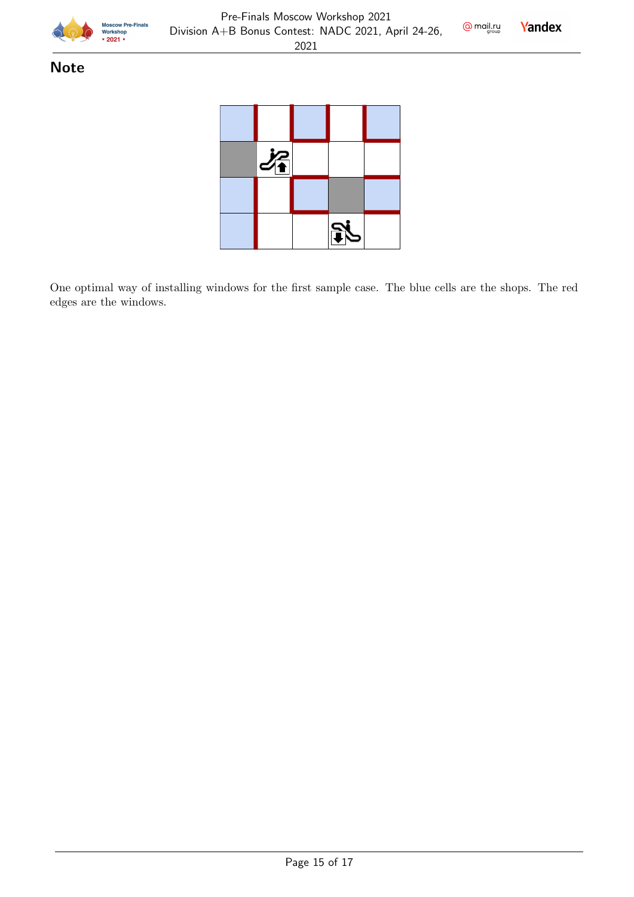



### **Note**



One optimal way of installing windows for the first sample case. The blue cells are the shops. The red edges are the windows.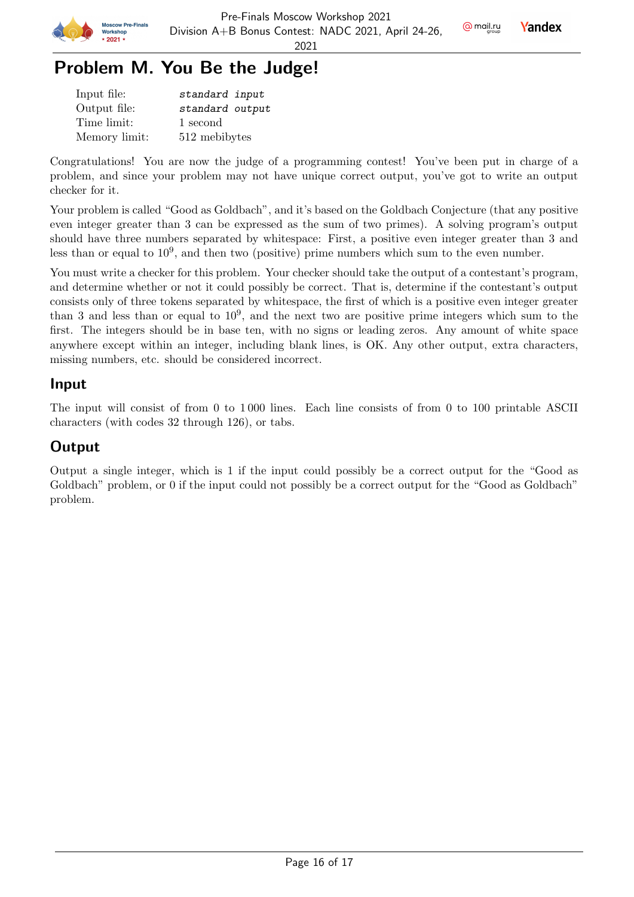



## Problem M. You Be the Judge!

| Input file:   | standard input  |
|---------------|-----------------|
| Output file:  | standard output |
| Time limit:   | 1 second        |
| Memory limit: | 512 mebibytes   |

Congratulations! You are now the judge of a programming contest! You've been put in charge of a problem, and since your problem may not have unique correct output, you've got to write an output checker for it.

Your problem is called "Good as Goldbach", and it's based on the Goldbach Conjecture (that any positive even integer greater than 3 can be expressed as the sum of two primes). A solving program's output should have three numbers separated by whitespace: First, a positive even integer greater than 3 and less than or equal to  $10^9$ , and then two (positive) prime numbers which sum to the even number.

You must write a checker for this problem. Your checker should take the output of a contestant's program, and determine whether or not it could possibly be correct. That is, determine if the contestant's output consists only of three tokens separated by whitespace, the first of which is a positive even integer greater than 3 and less than or equal to  $10^9$ , and the next two are positive prime integers which sum to the first. The integers should be in base ten, with no signs or leading zeros. Any amount of white space anywhere except within an integer, including blank lines, is OK. Any other output, extra characters, missing numbers, etc. should be considered incorrect.

#### Input

The input will consist of from 0 to 1 000 lines. Each line consists of from 0 to 100 printable ASCII characters (with codes 32 through 126), or tabs.

### **Output**

Output a single integer, which is 1 if the input could possibly be a correct output for the "Good as Goldbach" problem, or 0 if the input could not possibly be a correct output for the "Good as Goldbach" problem.